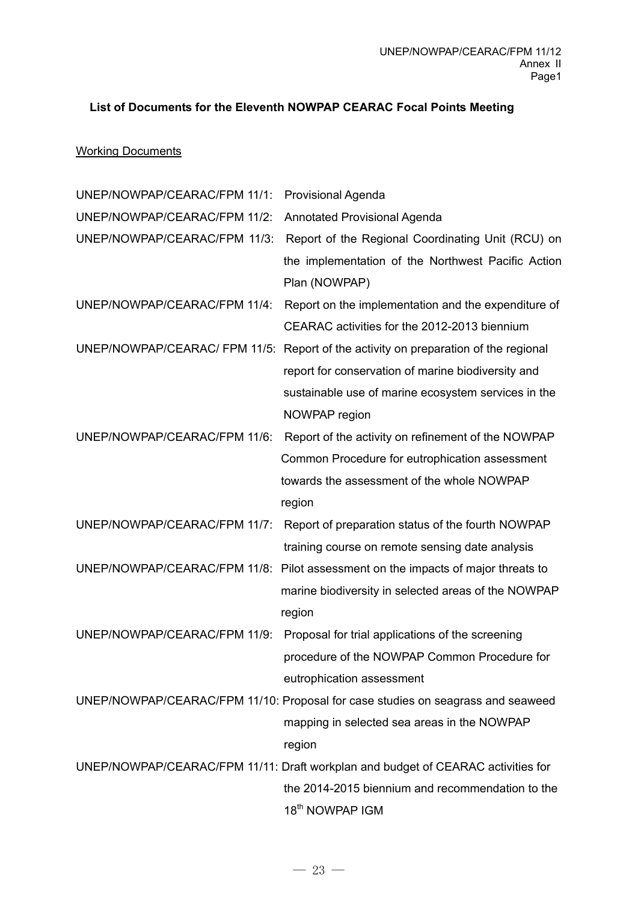## **List of Documents for the Eleventh NOWPAP CEARAC Focal Points Meeting**

## **Working Documents**

| UNEP/NOWPAP/CEARAC/FPM 11/1:  | <b>Provisional Agenda</b>                                                        |
|-------------------------------|----------------------------------------------------------------------------------|
| UNEP/NOWPAP/CEARAC/FPM 11/2:  | <b>Annotated Provisional Agenda</b>                                              |
| UNEP/NOWPAP/CEARAC/FPM 11/3:  | Report of the Regional Coordinating Unit (RCU) on                                |
|                               | the implementation of the Northwest Pacific Action                               |
|                               | Plan (NOWPAP)                                                                    |
| UNEP/NOWPAP/CEARAC/FPM 11/4:  | Report on the implementation and the expenditure of                              |
|                               | CEARAC activities for the 2012-2013 biennium                                     |
| UNEP/NOWPAP/CEARAC/ FPM 11/5: | Report of the activity on preparation of the regional                            |
|                               | report for conservation of marine biodiversity and                               |
|                               | sustainable use of marine ecosystem services in the                              |
|                               | NOWPAP region                                                                    |
| UNEP/NOWPAP/CEARAC/FPM 11/6:  | Report of the activity on refinement of the NOWPAP                               |
|                               | Common Procedure for eutrophication assessment                                   |
|                               | towards the assessment of the whole NOWPAP                                       |
|                               | region                                                                           |
| UNEP/NOWPAP/CEARAC/FPM 11/7:  | Report of preparation status of the fourth NOWPAP                                |
|                               | training course on remote sensing date analysis                                  |
| UNEP/NOWPAP/CEARAC/FPM 11/8:  | Pilot assessment on the impacts of major threats to                              |
|                               | marine biodiversity in selected areas of the NOWPAP                              |
|                               | region                                                                           |
| UNEP/NOWPAP/CEARAC/FPM 11/9:  | Proposal for trial applications of the screening                                 |
|                               | procedure of the NOWPAP Common Procedure for                                     |
|                               | eutrophication assessment                                                        |
|                               | UNEP/NOWPAP/CEARAC/FPM 11/10: Proposal for case studies on seagrass and seaweed  |
|                               | mapping in selected sea areas in the NOWPAP                                      |
|                               | region                                                                           |
|                               | UNEP/NOWPAP/CEARAC/FPM 11/11: Draft workplan and budget of CEARAC activities for |
|                               | the 2014-2015 biennium and recommendation to the                                 |
|                               | 18 <sup>th</sup> NOWPAP IGM                                                      |